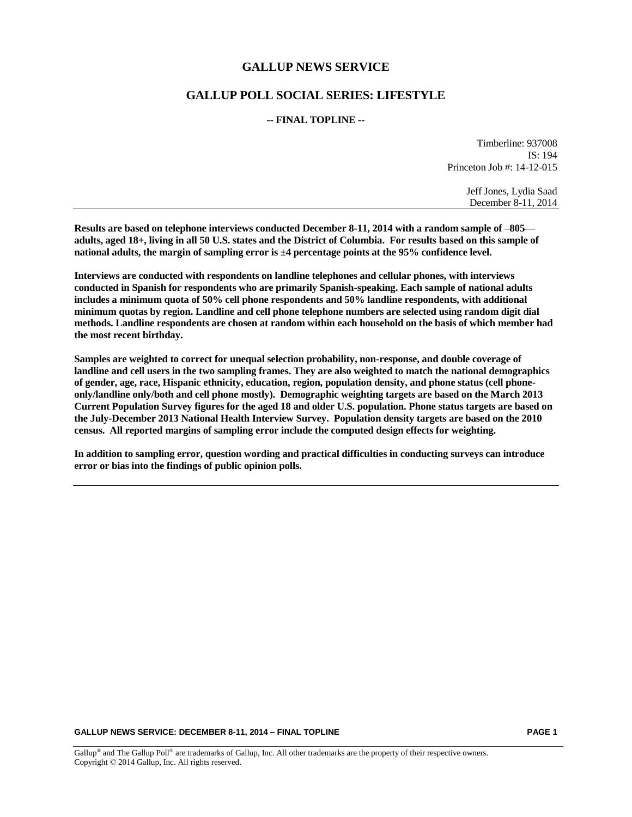## **GALLUP NEWS SERVICE**

## **GALLUP POLL SOCIAL SERIES: LIFESTYLE**

### **-- FINAL TOPLINE --**

Timberline: 937008 IS: 194 Princeton Job #: 14-12-015

> Jeff Jones, Lydia Saad December 8-11, 2014

**Results are based on telephone interviews conducted December 8-11, 2014 with a random sample of –805 adults, aged 18+, living in all 50 U.S. states and the District of Columbia. For results based on this sample of national adults, the margin of sampling error is ±4 percentage points at the 95% confidence level.** 

**Interviews are conducted with respondents on landline telephones and cellular phones, with interviews conducted in Spanish for respondents who are primarily Spanish-speaking. Each sample of national adults includes a minimum quota of 50% cell phone respondents and 50% landline respondents, with additional minimum quotas by region. Landline and cell phone telephone numbers are selected using random digit dial methods. Landline respondents are chosen at random within each household on the basis of which member had the most recent birthday.**

**Samples are weighted to correct for unequal selection probability, non-response, and double coverage of landline and cell users in the two sampling frames. They are also weighted to match the national demographics of gender, age, race, Hispanic ethnicity, education, region, population density, and phone status (cell phoneonly/landline only/both and cell phone mostly). Demographic weighting targets are based on the March 2013 Current Population Survey figures for the aged 18 and older U.S. population. Phone status targets are based on the July-December 2013 National Health Interview Survey. Population density targets are based on the 2010 census. All reported margins of sampling error include the computed design effects for weighting.** 

**In addition to sampling error, question wording and practical difficulties in conducting surveys can introduce error or bias into the findings of public opinion polls.**

#### **GALLUP NEWS SERVICE: DECEMBER 8-11, 2014 – FINAL TOPLINE PAGE 1**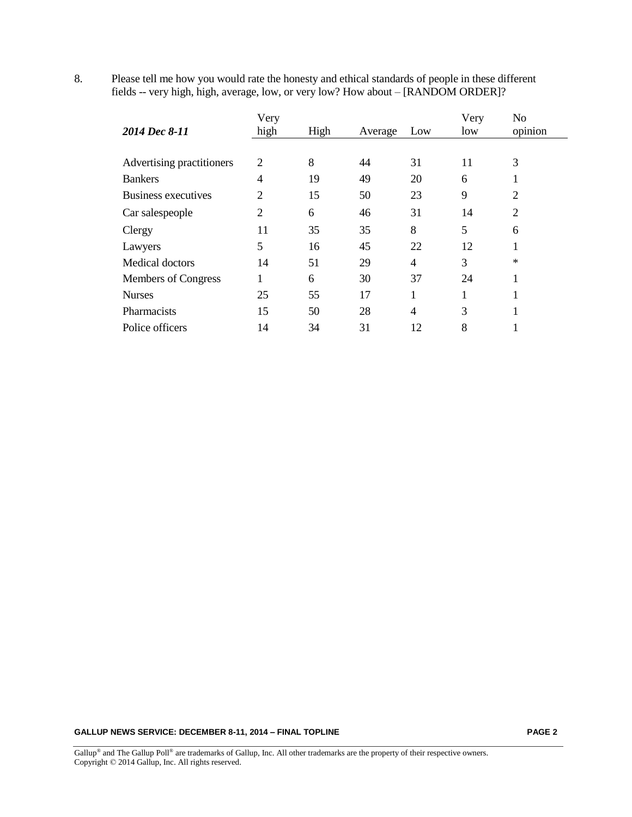|                            | Very           |      |         | Very | N <sub>o</sub> |                |  |
|----------------------------|----------------|------|---------|------|----------------|----------------|--|
| 2014 Dec 8-11              | high           | High | Average | Low  | low            | opinion        |  |
|                            |                |      |         |      |                |                |  |
| Advertising practitioners  | $\overline{2}$ | 8    | 44      | 31   | 11             | 3              |  |
| <b>Bankers</b>             | $\overline{4}$ | 19   | 49      | 20   | 6              |                |  |
| <b>Business executives</b> | 2              | 15   | 50      | 23   | 9              | $\overline{2}$ |  |
| Car salespeople            | $\overline{2}$ | 6    | 46      | 31   | 14             | $\overline{2}$ |  |
| Clergy                     | 11             | 35   | 35      | 8    | 5              | 6              |  |
| Lawyers                    | 5              | 16   | 45      | 22   | 12             | -1             |  |
| Medical doctors            | 14             | 51   | 29      | 4    | 3              | ∗              |  |
| Members of Congress        |                | 6    | 30      | 37   | 24             | 1              |  |
| <b>Nurses</b>              | 25             | 55   | 17      | 1    |                |                |  |
| Pharmacists                | 15             | 50   | 28      | 4    | 3              |                |  |
| Police officers            | 14             | 34   | 31      | 12   | 8              |                |  |

8. Please tell me how you would rate the honesty and ethical standards of people in these different fields -- very high, high, average, low, or very low? How about – [RANDOM ORDER]?

## **GALLUP NEWS SERVICE: DECEMBER 8-11, 2014 – FINAL TOPLINE PAGE 2**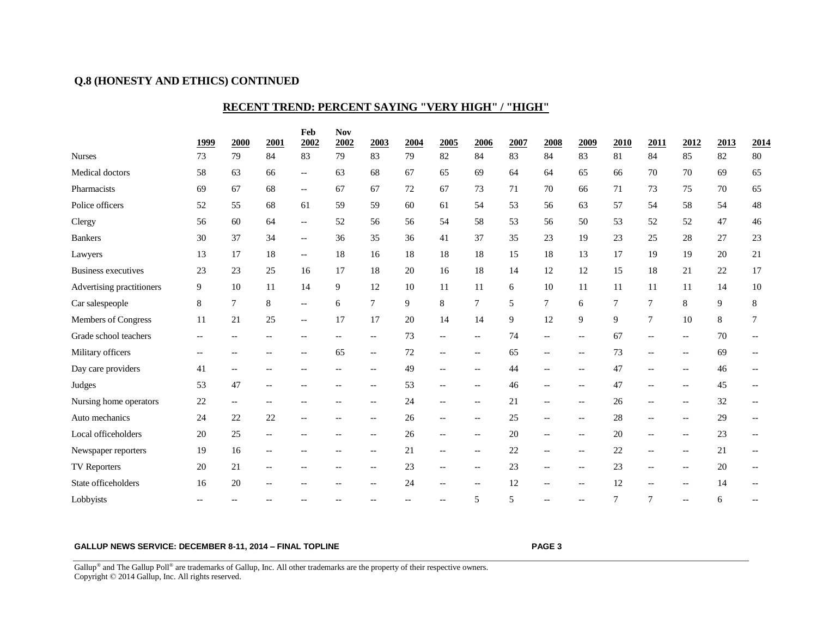# **Q.8 (HONESTY AND ETHICS) CONTINUED**

# **RECENT TREND: PERCENT SAYING "VERY HIGH" / "HIGH"**

|                            |                          |                                                     |       | Feb                                                 | <b>Nov</b>     |                                                     |        |                                                     |                                                     |      |                          |                                                     |                |                                                     |                                                     |        |                |
|----------------------------|--------------------------|-----------------------------------------------------|-------|-----------------------------------------------------|----------------|-----------------------------------------------------|--------|-----------------------------------------------------|-----------------------------------------------------|------|--------------------------|-----------------------------------------------------|----------------|-----------------------------------------------------|-----------------------------------------------------|--------|----------------|
|                            | 1999                     | 2000                                                | 2001  | 2002                                                | 2002           | 2003                                                | 2004   | 2005                                                | 2006                                                | 2007 | 2008                     | 2009                                                | 2010           | 2011                                                | 2012                                                | 2013   | 2014           |
| <b>Nurses</b>              | 73                       | 79                                                  | 84    | 83                                                  | 79             | 83                                                  | 79     | 82                                                  | 84                                                  | 83   | 84                       | 83                                                  | 81             | 84                                                  | 85                                                  | 82     | 80             |
| Medical doctors            | 58                       | 63                                                  | 66    | $\hspace{0.05cm} -\hspace{0.05cm} -\hspace{0.05cm}$ | 63             | 68                                                  | 67     | 65                                                  | 69                                                  | 64   | 64                       | 65                                                  | 66             | 70                                                  | 70                                                  | 69     | 65             |
| Pharmacists                | 69                       | 67                                                  | 68    | $\overline{\phantom{a}}$                            | 67             | 67                                                  | $72\,$ | 67                                                  | 73                                                  | 71   | 70                       | 66                                                  | $71\,$         | 73                                                  | 75                                                  | 70     | 65             |
| Police officers            | 52                       | 55                                                  | 68    | 61                                                  | 59             | 59                                                  | 60     | 61                                                  | 54                                                  | 53   | 56                       | 63                                                  | 57             | 54                                                  | 58                                                  | 54     | $48\,$         |
| Clergy                     | 56                       | 60                                                  | 64    | $\overline{\phantom{a}}$                            | 52             | 56                                                  | 56     | 54                                                  | 58                                                  | 53   | 56                       | 50                                                  | 53             | 52                                                  | 52                                                  | 47     | 46             |
| <b>Bankers</b>             | 30                       | 37                                                  | 34    | $\overline{\phantom{a}}$                            | 36             | 35                                                  | 36     | 41                                                  | 37                                                  | 35   | 23                       | 19                                                  | $23\,$         | $25\,$                                              | 28                                                  | 27     | $23\,$         |
| Lawyers                    | 13                       | 17                                                  | 18    | $\overline{\phantom{a}}$                            | 18             | 16                                                  | 18     | 18                                                  | 18                                                  | 15   | 18                       | 13                                                  | 17             | 19                                                  | 19                                                  | 20     | 21             |
| <b>Business executives</b> | 23                       | 23                                                  | 25    | 16                                                  | 17             | 18                                                  | $20\,$ | 16                                                  | 18                                                  | 14   | 12                       | 12                                                  | 15             | $18\,$                                              | 21                                                  | $22\,$ | 17             |
| Advertising practitioners  | 9                        | 10                                                  | 11    | 14                                                  | $\overline{9}$ | 12                                                  | 10     | 11                                                  | 11                                                  | 6    | 10                       | 11                                                  | 11             | 11                                                  | 11                                                  | 14     | $10\,$         |
| Car salespeople            | $\,8\,$                  | $\overline{7}$                                      | 8     | $\overline{\phantom{a}}$                            | 6              | $\overline{7}$                                      | 9      | 8                                                   | $\tau$                                              | 5    | 7                        | 6                                                   | $\tau$         | $\tau$                                              | $8\,$                                               | 9      | 8              |
| Members of Congress        | 11                       | 21                                                  | 25    | $\overline{\phantom{a}}$                            | 17             | 17                                                  | 20     | 14                                                  | 14                                                  | 9    | 12                       | 9                                                   | 9              | $\overline{7}$                                      | 10                                                  | 8      | 7              |
| Grade school teachers      | $\overline{\phantom{a}}$ |                                                     | $-$   | --                                                  |                | $\hspace{0.05cm}$ $\hspace{0.05cm}$                 | 73     | $--$                                                | $- -$                                               | 74   | $\overline{\phantom{a}}$ | $\hspace{0.05cm} -\hspace{0.05cm} -\hspace{0.05cm}$ | 67             | $\hspace{0.05cm}$ $\hspace{0.05cm}$                 | $\overline{\phantom{a}}$                            | 70     |                |
| Military officers          | $\overline{\phantom{m}}$ | $\overline{a}$                                      | $-$   | $\overline{a}$                                      | 65             | $\hspace{0.05cm} -\hspace{0.05cm} -\hspace{0.05cm}$ | 72     | $--$                                                | $\overline{\phantom{m}}$                            | 65   | $\overline{\phantom{a}}$ | $-$                                                 | 73             | $\hspace{0.05cm} -\hspace{0.05cm} -\hspace{0.05cm}$ | $\hspace{0.05cm} -\hspace{0.05cm} -\hspace{0.05cm}$ | 69     | $-$            |
| Day care providers         | 41                       | $-$                                                 | $-$   |                                                     | $-$            | $\hspace{0.05cm}$ $\hspace{0.05cm}$                 | 49     | $-$                                                 | $-$                                                 | 44   |                          | $\overline{\phantom{m}}$                            | 47             | $\hspace{0.05cm}$ $\hspace{0.05cm}$                 | $-$                                                 | 46     |                |
| Judges                     | 53                       | 47                                                  | $- -$ | --                                                  | $-$            | $\hspace{0.05cm}$ $\hspace{0.05cm}$                 | 53     | $\hspace{0.05cm} -\hspace{0.05cm} -\hspace{0.05cm}$ | --                                                  | 46   | $-$                      | $\overline{\phantom{a}}$                            | 47             | $\overline{\phantom{a}}$                            | $-$                                                 | 45     | $\overline{a}$ |
| Nursing home operators     | 22                       | $\hspace{0.05cm} -\hspace{0.05cm} -\hspace{0.05cm}$ | $- -$ | --                                                  | $- -$          | $-\!$                                               | 24     | --                                                  | $\hspace{0.05cm} -\hspace{0.05cm} -\hspace{0.05cm}$ | 21   | $\hspace{0.05cm} \ldots$ | $\hspace{0.05cm} -\hspace{0.05cm} -\hspace{0.05cm}$ | 26             | $\hspace{0.05cm} -\hspace{0.05cm} -\hspace{0.05cm}$ | $-\!$                                               | 32     | $-$            |
| Auto mechanics             | 24                       | 22                                                  | 22    | --                                                  |                | $-\!$                                               | 26     | $--$                                                | --                                                  | 25   | $-$                      | $\qquad \qquad -$                                   | 28             | $\hspace{0.05cm} -\hspace{0.05cm} -\hspace{0.05cm}$ |                                                     | 29     |                |
| Local officeholders        | 20                       | 25                                                  | $- -$ |                                                     |                | $\hspace{0.05cm}$ $\hspace{0.05cm}$                 | 26     | $-$                                                 | --                                                  | 20   |                          | $\overline{\phantom{m}}$                            | 20             | $\hspace{0.05cm}$ $\hspace{0.05cm}$                 | $\overline{\phantom{a}}$                            | 23     |                |
| Newspaper reporters        | 19                       | 16                                                  | $-$   |                                                     |                | $\overline{\phantom{a}}$                            | 21     | $\hspace{0.05cm} -\hspace{0.05cm} -\hspace{0.05cm}$ | --                                                  | 22   | $-$                      | $\overline{\phantom{a}}$                            | 22             | $\hspace{0.05cm}$ $\hspace{0.05cm}$                 | $\overline{\phantom{a}}$                            | 21     |                |
| <b>TV Reporters</b>        | 20                       | 21                                                  |       |                                                     |                | $\overline{\phantom{m}}$                            | 23     | --                                                  | --                                                  | 23   |                          | $\overline{\phantom{a}}$                            | 23             | $\hspace{0.05cm}$ $\hspace{0.05cm}$                 |                                                     | 20     |                |
| State officeholders        | 16                       | 20                                                  |       |                                                     |                | $\overline{\phantom{m}}$                            | 24     | $-$                                                 | --                                                  | 12   |                          | $\overline{\phantom{a}}$                            | 12             | $\overline{\phantom{a}}$                            | $-$                                                 | 14     |                |
| Lobbyists                  |                          |                                                     |       |                                                     |                |                                                     |        |                                                     | 5                                                   | 5    | $-$                      | $-$                                                 | $\overline{7}$ | 7                                                   |                                                     | 6      |                |

### **GALLUP NEWS SERVICE: DECEMBER 8-11, 2014 – FINAL TOPLINE PAGE 3**

Gallup<sup>®</sup> and The Gallup Poll<sup>®</sup> are trademarks of Gallup, Inc. All other trademarks are the property of their respective owners. Copyright © 2014 Gallup, Inc. All rights reserved.